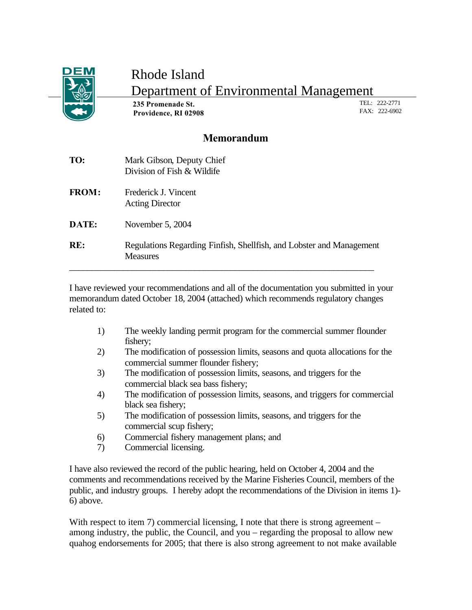

## Rhode Island Department of Environmental Management

 **235 Promenade St. Providence, RI 02908** TEL: 222-2771 FAX: 222-6902

#### **Memorandum**

| TO:          | Mark Gibson, Deputy Chief<br>Division of Fish & Wildife                                 |
|--------------|-----------------------------------------------------------------------------------------|
| <b>FROM:</b> | Frederick J. Vincent<br><b>Acting Director</b>                                          |
| DATE:        | November 5, 2004                                                                        |
| RE:          | Regulations Regarding Finfish, Shellfish, and Lobster and Management<br><b>Measures</b> |

I have reviewed your recommendations and all of the documentation you submitted in your memorandum dated October 18, 2004 (attached) which recommends regulatory changes related to:

- 1) The weekly landing permit program for the commercial summer flounder fishery;
- 2) The modification of possession limits, seasons and quota allocations for the commercial summer flounder fishery;
- 3) The modification of possession limits, seasons, and triggers for the commercial black sea bass fishery;
- 4) The modification of possession limits, seasons, and triggers for commercial black sea fishery;
- 5) The modification of possession limits, seasons, and triggers for the commercial scup fishery;
- 6) Commercial fishery management plans; and
- 7) Commercial licensing.

I have also reviewed the record of the public hearing, held on October 4, 2004 and the comments and recommendations received by the Marine Fisheries Council, members of the public, and industry groups. I hereby adopt the recommendations of the Division in items 1)- 6) above.

With respect to item 7) commercial licensing, I note that there is strong agreement – among industry, the public, the Council, and you – regarding the proposal to allow new quahog endorsements for 2005; that there is also strong agreement to not make available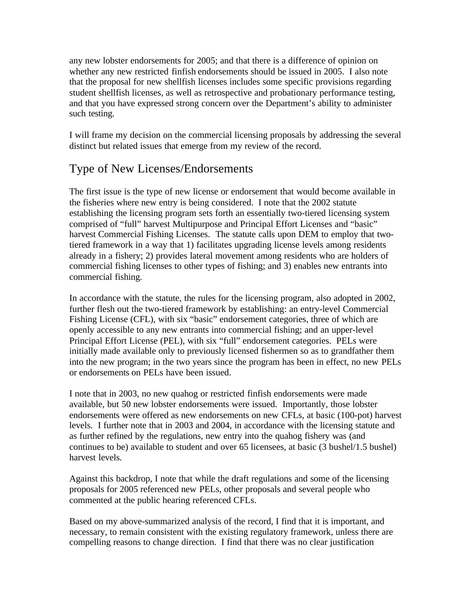any new lobster endorsements for 2005; and that there is a difference of opinion on whether any new restricted finfish endorsements should be issued in 2005. I also note that the proposal for new shellfish licenses includes some specific provisions regarding student shellfish licenses, as well as retrospective and probationary performance testing, and that you have expressed strong concern over the Department's ability to administer such testing.

I will frame my decision on the commercial licensing proposals by addressing the several distinct but related issues that emerge from my review of the record.

### Type of New Licenses/Endorsements

The first issue is the type of new license or endorsement that would become available in the fisheries where new entry is being considered. I note that the 2002 statute establishing the licensing program sets forth an essentially two-tiered licensing system comprised of "full" harvest Multipurpose and Principal Effort Licenses and "basic" harvest Commercial Fishing Licenses. The statute calls upon DEM to employ that twotiered framework in a way that 1) facilitates upgrading license levels among residents already in a fishery; 2) provides lateral movement among residents who are holders of commercial fishing licenses to other types of fishing; and 3) enables new entrants into commercial fishing.

In accordance with the statute, the rules for the licensing program, also adopted in 2002, further flesh out the two-tiered framework by establishing: an entry-level Commercial Fishing License (CFL), with six "basic" endorsement categories, three of which are openly accessible to any new entrants into commercial fishing; and an upper-level Principal Effort License (PEL), with six "full" endorsement categories. PELs were initially made available only to previously licensed fishermen so as to grandfather them into the new program; in the two years since the program has been in effect, no new PELs or endorsements on PELs have been issued.

I note that in 2003, no new quahog or restricted finfish endorsements were made available, but 50 new lobster endorsements were issued. Importantly, those lobster endorsements were offered as new endorsements on new CFLs, at basic (100-pot) harvest levels. I further note that in 2003 and 2004, in accordance with the licensing statute and as further refined by the regulations, new entry into the quahog fishery was (and continues to be) available to student and over 65 licensees, at basic (3 bushel/1.5 bushel) harvest levels.

Against this backdrop, I note that while the draft regulations and some of the licensing proposals for 2005 referenced new PELs, other proposals and several people who commented at the public hearing referenced CFLs.

Based on my above-summarized analysis of the record, I find that it is important, and necessary, to remain consistent with the existing regulatory framework, unless there are compelling reasons to change direction. I find that there was no clear justification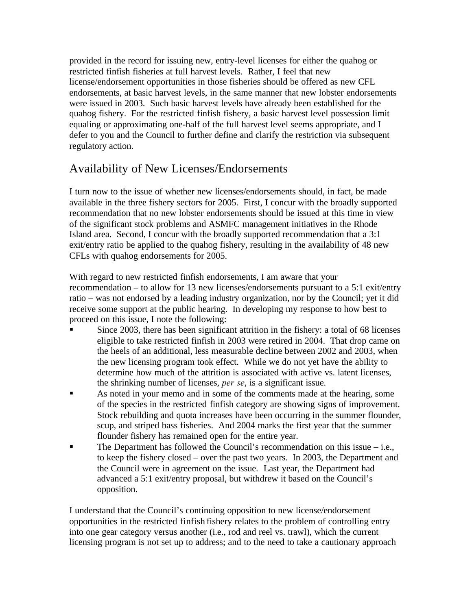provided in the record for issuing new, entry-level licenses for either the quahog or restricted finfish fisheries at full harvest levels. Rather, I feel that new license/endorsement opportunities in those fisheries should be offered as new CFL endorsements, at basic harvest levels, in the same manner that new lobster endorsements were issued in 2003. Such basic harvest levels have already been established for the quahog fishery. For the restricted finfish fishery, a basic harvest level possession limit equaling or approximating one-half of the full harvest level seems appropriate, and I defer to you and the Council to further define and clarify the restriction via subsequent regulatory action.

#### Availability of New Licenses/Endorsements

I turn now to the issue of whether new licenses/endorsements should, in fact, be made available in the three fishery sectors for 2005. First, I concur with the broadly supported recommendation that no new lobster endorsements should be issued at this time in view of the significant stock problems and ASMFC management initiatives in the Rhode Island area. Second, I concur with the broadly supported recommendation that a 3:1 exit/entry ratio be applied to the quahog fishery, resulting in the availability of 48 new CFLs with quahog endorsements for 2005.

With regard to new restricted finfish endorsements, I am aware that your recommendation – to allow for 13 new licenses/endorsements pursuant to a 5:1 exit/entry ratio – was not endorsed by a leading industry organization, nor by the Council; yet it did receive some support at the public hearing. In developing my response to how best to proceed on this issue, I note the following:

- ß Since 2003, there has been significant attrition in the fishery: a total of 68 licenses eligible to take restricted finfish in 2003 were retired in 2004. That drop came on the heels of an additional, less measurable decline between 2002 and 2003, when the new licensing program took effect. While we do not yet have the ability to determine how much of the attrition is associated with active vs. latent licenses, the shrinking number of licenses, *per se*, is a significant issue.
- ß As noted in your memo and in some of the comments made at the hearing, some of the species in the restricted finfish category are showing signs of improvement. Stock rebuilding and quota increases have been occurring in the summer flounder, scup, and striped bass fisheries. And 2004 marks the first year that the summer flounder fishery has remained open for the entire year.
- $\blacksquare$  The Department has followed the Council's recommendation on this issue i.e., to keep the fishery closed – over the past two years. In 2003, the Department and the Council were in agreement on the issue. Last year, the Department had advanced a 5:1 exit/entry proposal, but withdrew it based on the Council's opposition.

I understand that the Council's continuing opposition to new license/endorsement opportunities in the restricted finfish fishery relates to the problem of controlling entry into one gear category versus another (i.e., rod and reel vs. trawl), which the current licensing program is not set up to address; and to the need to take a cautionary approach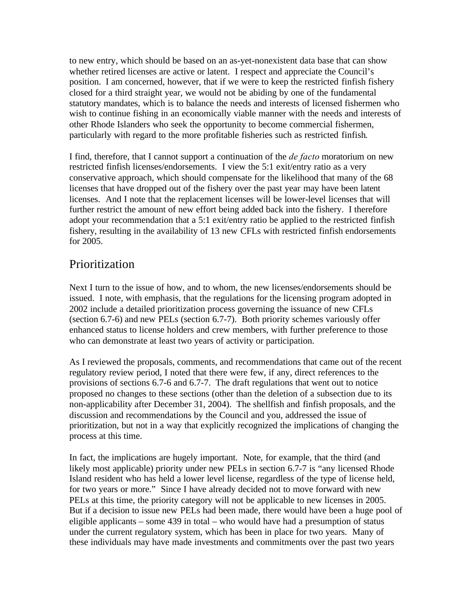to new entry, which should be based on an as-yet-nonexistent data base that can show whether retired licenses are active or latent. I respect and appreciate the Council's position. I am concerned, however, that if we were to keep the restricted finfish fishery closed for a third straight year, we would not be abiding by one of the fundamental statutory mandates, which is to balance the needs and interests of licensed fishermen who wish to continue fishing in an economically viable manner with the needs and interests of other Rhode Islanders who seek the opportunity to become commercial fishermen, particularly with regard to the more profitable fisheries such as restricted finfish.

I find, therefore, that I cannot support a continuation of the *de facto* moratorium on new restricted finfish licenses/endorsements. I view the 5:1 exit/entry ratio as a very conservative approach, which should compensate for the likelihood that many of the 68 licenses that have dropped out of the fishery over the past year may have been latent licenses. And I note that the replacement licenses will be lower-level licenses that will further restrict the amount of new effort being added back into the fishery. I therefore adopt your recommendation that a 5:1 exit/entry ratio be applied to the restricted finfish fishery, resulting in the availability of 13 new CFLs with restricted finfish endorsements for 2005.

#### Prioritization

Next I turn to the issue of how, and to whom, the new licenses/endorsements should be issued. I note, with emphasis, that the regulations for the licensing program adopted in 2002 include a detailed prioritization process governing the issuance of new CFLs (section 6.7-6) and new PELs (section 6.7-7). Both priority schemes variously offer enhanced status to license holders and crew members, with further preference to those who can demonstrate at least two years of activity or participation.

As I reviewed the proposals, comments, and recommendations that came out of the recent regulatory review period, I noted that there were few, if any, direct references to the provisions of sections 6.7-6 and 6.7-7. The draft regulations that went out to notice proposed no changes to these sections (other than the deletion of a subsection due to its non-applicability after December 31, 2004). The shellfish and finfish proposals, and the discussion and recommendations by the Council and you, addressed the issue of prioritization, but not in a way that explicitly recognized the implications of changing the process at this time.

In fact, the implications are hugely important. Note, for example, that the third (and likely most applicable) priority under new PELs in section 6.7-7 is "any licensed Rhode Island resident who has held a lower level license, regardless of the type of license held, for two years or more." Since I have already decided not to move forward with new PELs at this time, the priority category will not be applicable to new licenses in 2005. But if a decision to issue new PELs had been made, there would have been a huge pool of eligible applicants – some 439 in total – who would have had a presumption of status under the current regulatory system, which has been in place for two years. Many of these individuals may have made investments and commitments over the past two years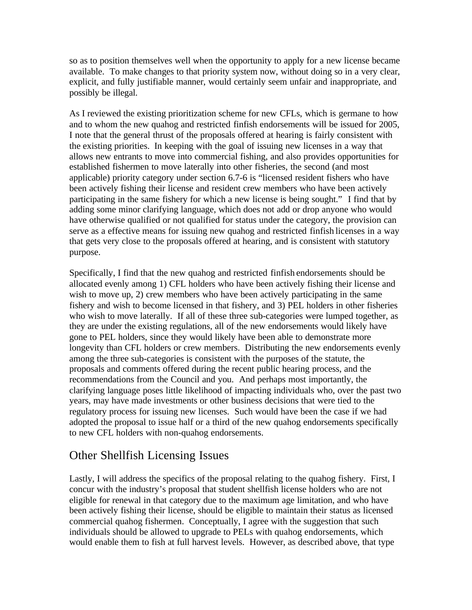so as to position themselves well when the opportunity to apply for a new license became available. To make changes to that priority system now, without doing so in a very clear, explicit, and fully justifiable manner, would certainly seem unfair and inappropriate, and possibly be illegal.

As I reviewed the existing prioritization scheme for new CFLs, which is germane to how and to whom the new quahog and restricted finfish endorsements will be issued for 2005, I note that the general thrust of the proposals offered at hearing is fairly consistent with the existing priorities. In keeping with the goal of issuing new licenses in a way that allows new entrants to move into commercial fishing, and also provides opportunities for established fishermen to move laterally into other fisheries, the second (and most applicable) priority category under section 6.7-6 is "licensed resident fishers who have been actively fishing their license and resident crew members who have been actively participating in the same fishery for which a new license is being sought." I find that by adding some minor clarifying language, which does not add or drop anyone who would have otherwise qualified or not qualified for status under the category, the provision can serve as a effective means for issuing new quahog and restricted finfish licenses in a way that gets very close to the proposals offered at hearing, and is consistent with statutory purpose.

Specifically, I find that the new quahog and restricted finfish endorsements should be allocated evenly among 1) CFL holders who have been actively fishing their license and wish to move up, 2) crew members who have been actively participating in the same fishery and wish to become licensed in that fishery, and 3) PEL holders in other fisheries who wish to move laterally. If all of these three sub-categories were lumped together, as they are under the existing regulations, all of the new endorsements would likely have gone to PEL holders, since they would likely have been able to demonstrate more longevity than CFL holders or crew members. Distributing the new endorsements evenly among the three sub-categories is consistent with the purposes of the statute, the proposals and comments offered during the recent public hearing process, and the recommendations from the Council and you. And perhaps most importantly, the clarifying language poses little likelihood of impacting individuals who, over the past two years, may have made investments or other business decisions that were tied to the regulatory process for issuing new licenses. Such would have been the case if we had adopted the proposal to issue half or a third of the new quahog endorsements specifically to new CFL holders with non-quahog endorsements.

#### Other Shellfish Licensing Issues

Lastly, I will address the specifics of the proposal relating to the quahog fishery. First, I concur with the industry's proposal that student shellfish license holders who are not eligible for renewal in that category due to the maximum age limitation, and who have been actively fishing their license, should be eligible to maintain their status as licensed commercial quahog fishermen. Conceptually, I agree with the suggestion that such individuals should be allowed to upgrade to PELs with quahog endorsements, which would enable them to fish at full harvest levels. However, as described above, that type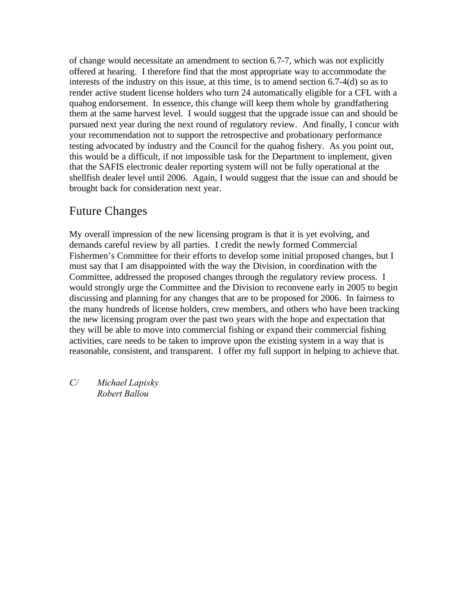of change would necessitate an amendment to section 6.7-7, which was not explicitly offered at hearing. I therefore find that the most appropriate way to accommodate the interests of the industry on this issue, at this time, is to amend section 6.7-4(d) so as to render active student license holders who turn 24 automatically eligible for a CFL with a quahog endorsement. In essence, this change will keep them whole by grandfathering them at the same harvest level. I would suggest that the upgrade issue can and should be pursued next year during the next round of regulatory review. And finally, I concur with your recommendation not to support the retrospective and probationary performance testing advocated by industry and the Council for the quahog fishery. As you point out, this would be a difficult, if not impossible task for the Department to implement, given that the SAFIS electronic dealer reporting system will not be fully operational at the shellfish dealer level until 2006. Again, I would suggest that the issue can and should be brought back for consideration next year.

#### Future Changes

My overall impression of the new licensing program is that it is yet evolving, and demands careful review by all parties. I credit the newly formed Commercial Fishermen's Committee for their efforts to develop some initial proposed changes, but I must say that I am disappointed with the way the Division, in coordination with the Committee, addressed the proposed changes through the regulatory review process. I would strongly urge the Committee and the Division to reconvene early in 2005 to begin discussing and planning for any changes that are to be proposed for 2006. In fairness to the many hundreds of license holders, crew members, and others who have been tracking the new licensing program over the past two years with the hope and expectation that they will be able to move into commercial fishing or expand their commercial fishing activities, care needs to be taken to improve upon the existing system in a way that is reasonable, consistent, and transparent. I offer my full support in helping to achieve that.

*C/ Michael Lapisky Robert Ballou*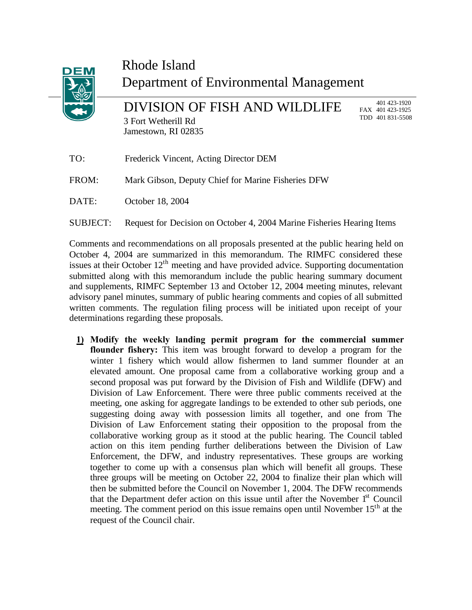

# Rhode Island Department of Environmental Management

DIVISION OF FISH AND WILDLIFE 3 Fort Wetherill Rd Jamestown, RI 02835

 401 423-1920 FAX 401 423-1925 TDD 401 831-5508

- TO: Frederick Vincent, Acting Director DEM FROM: Mark Gibson, Deputy Chief for Marine Fisheries DFW DATE: October 18, 2004
- SUBJECT: Request for Decision on October 4, 2004 Marine Fisheries Hearing Items

Comments and recommendations on all proposals presented at the public hearing held on October 4, 2004 are summarized in this memorandum. The RIMFC considered these issues at their October  $12<sup>th</sup>$  meeting and have provided advice. Supporting documentation submitted along with this memorandum include the public hearing summary document and supplements, RIMFC September 13 and October 12, 2004 meeting minutes, relevant advisory panel minutes, summary of public hearing comments and copies of all submitted written comments. The regulation filing process will be initiated upon receipt of your determinations regarding these proposals.

**1) Modify the weekly landing permit program for the commercial summer flounder fishery:** This item was brought forward to develop a program for the winter 1 fishery which would allow fishermen to land summer flounder at an elevated amount. One proposal came from a collaborative working group and a second proposal was put forward by the Division of Fish and Wildlife (DFW) and Division of Law Enforcement. There were three public comments received at the meeting, one asking for aggregate landings to be extended to other sub periods, one suggesting doing away with possession limits all together, and one from The Division of Law Enforcement stating their opposition to the proposal from the collaborative working group as it stood at the public hearing. The Council tabled action on this item pending further deliberations between the Division of Law Enforcement, the DFW, and industry representatives. These groups are working together to come up with a consensus plan which will benefit all groups. These three groups will be meeting on October 22, 2004 to finalize their plan which will then be submitted before the Council on November 1, 2004. The DFW recommends that the Department defer action on this issue until after the November  $1<sup>st</sup>$  Council meeting. The comment period on this issue remains open until November  $15<sup>th</sup>$  at the request of the Council chair.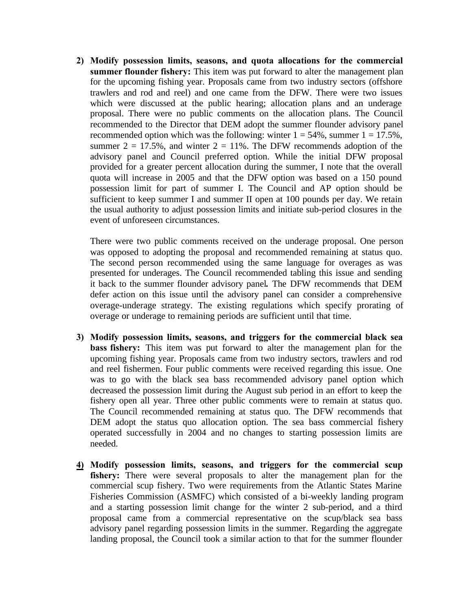**2) Modify possession limits, seasons, and quota allocations for the commercial summer flounder fishery:** This item was put forward to alter the management plan for the upcoming fishing year. Proposals came from two industry sectors (offshore trawlers and rod and reel) and one came from the DFW. There were two issues which were discussed at the public hearing; allocation plans and an underage proposal. There were no public comments on the allocation plans. The Council recommended to the Director that DEM adopt the summer flounder advisory panel recommended option which was the following: winter  $1 = 54\%$ , summer  $1 = 17.5\%$ , summer  $2 = 17.5\%$ , and winter  $2 = 11\%$ . The DFW recommends adoption of the advisory panel and Council preferred option. While the initial DFW proposal provided for a greater percent allocation during the summer, I note that the overall quota will increase in 2005 and that the DFW option was based on a 150 pound possession limit for part of summer I. The Council and AP option should be sufficient to keep summer I and summer II open at 100 pounds per day. We retain the usual authority to adjust possession limits and initiate sub-period closures in the event of unforeseen circumstances.

There were two public comments received on the underage proposal. One person was opposed to adopting the proposal and recommended remaining at status quo. The second person recommended using the same language for overages as was presented for underages. The Council recommended tabling this issue and sending it back to the summer flounder advisory panel**.** The DFW recommends that DEM defer action on this issue until the advisory panel can consider a comprehensive overage-underage strategy. The existing regulations which specify prorating of overage or underage to remaining periods are sufficient until that time.

- **3) Modify possession limits, seasons, and triggers for the commercial black sea bass fishery:** This item was put forward to alter the management plan for the upcoming fishing year. Proposals came from two industry sectors, trawlers and rod and reel fishermen. Four public comments were received regarding this issue. One was to go with the black sea bass recommended advisory panel option which decreased the possession limit during the August sub period in an effort to keep the fishery open all year. Three other public comments were to remain at status quo. The Council recommended remaining at status quo. The DFW recommends that DEM adopt the status quo allocation option. The sea bass commercial fishery operated successfully in 2004 and no changes to starting possession limits are needed.
- **4) Modify possession limits, seasons, and triggers for the commercial scup fishery:** There were several proposals to alter the management plan for the commercial scup fishery. Two were requirements from the Atlantic States Marine Fisheries Commission (ASMFC) which consisted of a bi-weekly landing program and a starting possession limit change for the winter 2 sub-period, and a third proposal came from a commercial representative on the scup/black sea bass advisory panel regarding possession limits in the summer. Regarding the aggregate landing proposal, the Council took a similar action to that for the summer flounder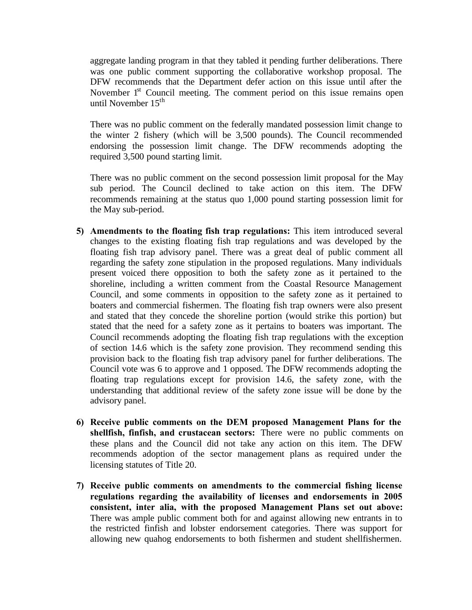aggregate landing program in that they tabled it pending further deliberations. There was one public comment supporting the collaborative workshop proposal. The DFW recommends that the Department defer action on this issue until after the November  $1<sup>st</sup>$  Council meeting. The comment period on this issue remains open until November  $15^{th}$ 

There was no public comment on the federally mandated possession limit change to the winter 2 fishery (which will be 3,500 pounds). The Council recommended endorsing the possession limit change. The DFW recommends adopting the required 3,500 pound starting limit.

There was no public comment on the second possession limit proposal for the May sub period. The Council declined to take action on this item. The DFW recommends remaining at the status quo 1,000 pound starting possession limit for the May sub-period.

- **5) Amendments to the floating fish trap regulations:** This item introduced several changes to the existing floating fish trap regulations and was developed by the floating fish trap advisory panel. There was a great deal of public comment all regarding the safety zone stipulation in the proposed regulations. Many individuals present voiced there opposition to both the safety zone as it pertained to the shoreline, including a written comment from the Coastal Resource Management Council, and some comments in opposition to the safety zone as it pertained to boaters and commercial fishermen. The floating fish trap owners were also present and stated that they concede the shoreline portion (would strike this portion) but stated that the need for a safety zone as it pertains to boaters was important. The Council recommends adopting the floating fish trap regulations with the exception of section 14.6 which is the safety zone provision. They recommend sending this provision back to the floating fish trap advisory panel for further deliberations. The Council vote was 6 to approve and 1 opposed. The DFW recommends adopting the floating trap regulations except for provision 14.6, the safety zone, with the understanding that additional review of the safety zone issue will be done by the advisory panel.
- **6) Receive public comments on the DEM proposed Management Plans for the shellfish, finfish, and crustacean sectors:** There were no public comments on these plans and the Council did not take any action on this item. The DFW recommends adoption of the sector management plans as required under the licensing statutes of Title 20.
- **7) Receive public comments on amendments to the commercial fishing license regulations regarding the availability of licenses and endorsements in 2005 consistent, inter alia, with the proposed Management Plans set out above:** There was ample public comment both for and against allowing new entrants in to the restricted finfish and lobster endorsement categories. There was support for allowing new quahog endorsements to both fishermen and student shellfishermen.